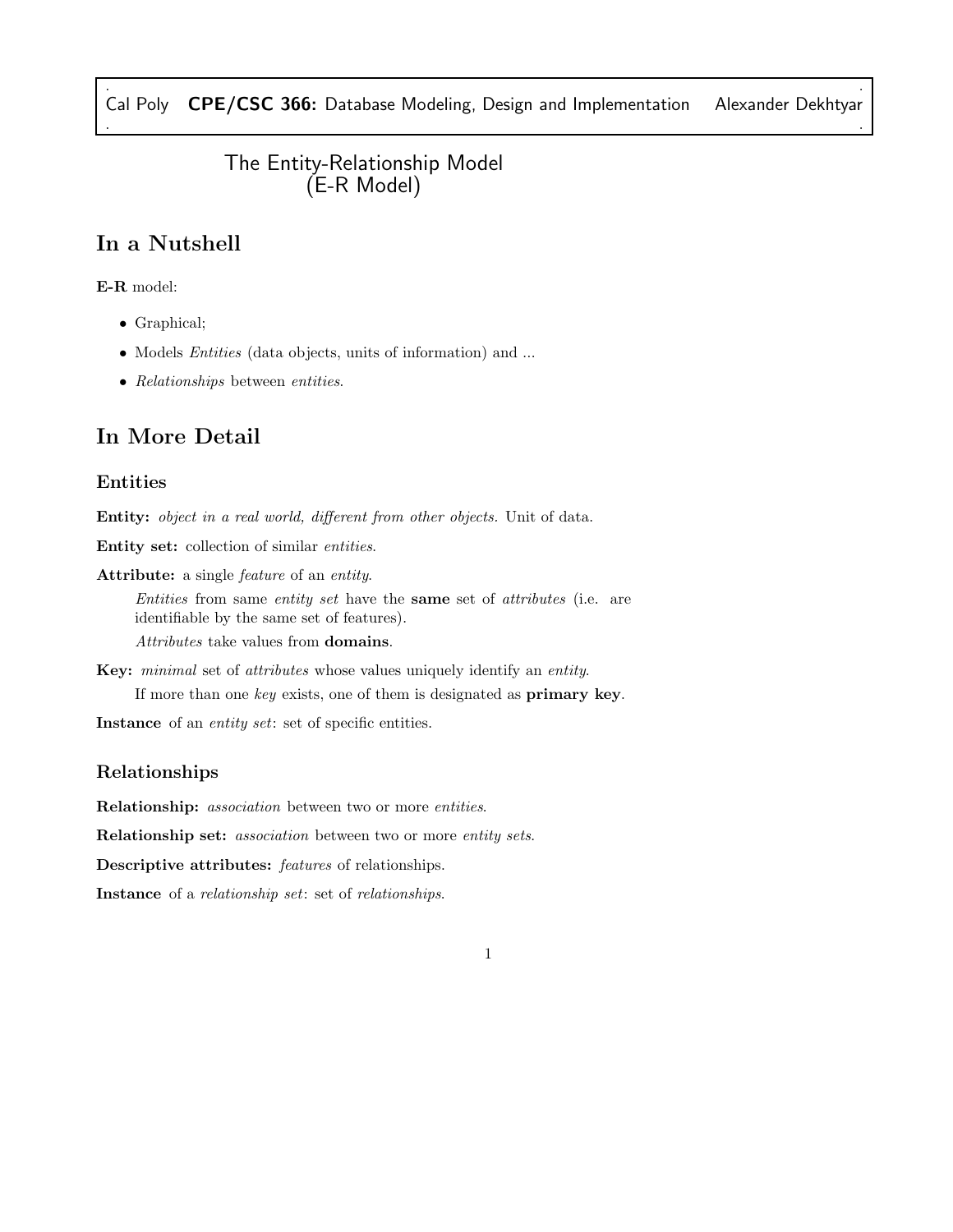. . Cal Poly CPE/CSC 366: Database Modeling, Design and Implementation Alexander Dekhtyar . .

## The Entity-Relationship Model (E-R Model)

# In a Nutshell

E-R model:

- Graphical;
- Models *Entities* (data objects, units of information) and ...
- $\bullet$   $\; Relationships$  between  $\; entities.$

### In More Detail

### Entities

Entity: object in a real world, different from other objects. Unit of data.

Entity set: collection of similar entities.

Attribute: a single feature of an entity.

Entities from same entity set have the same set of attributes (i.e. are identifiable by the same set of features).

Attributes take values from domains.

Key: minimal set of attributes whose values uniquely identify an entity. If more than one key exists, one of them is designated as primary key.

Instance of an *entity set*: set of specific entities.

#### Relationships

Relationship: *association* between two or more entities.

Relationship set: *association* between two or more entity sets.

Descriptive attributes: *features* of relationships.

Instance of a relationship set: set of relationships.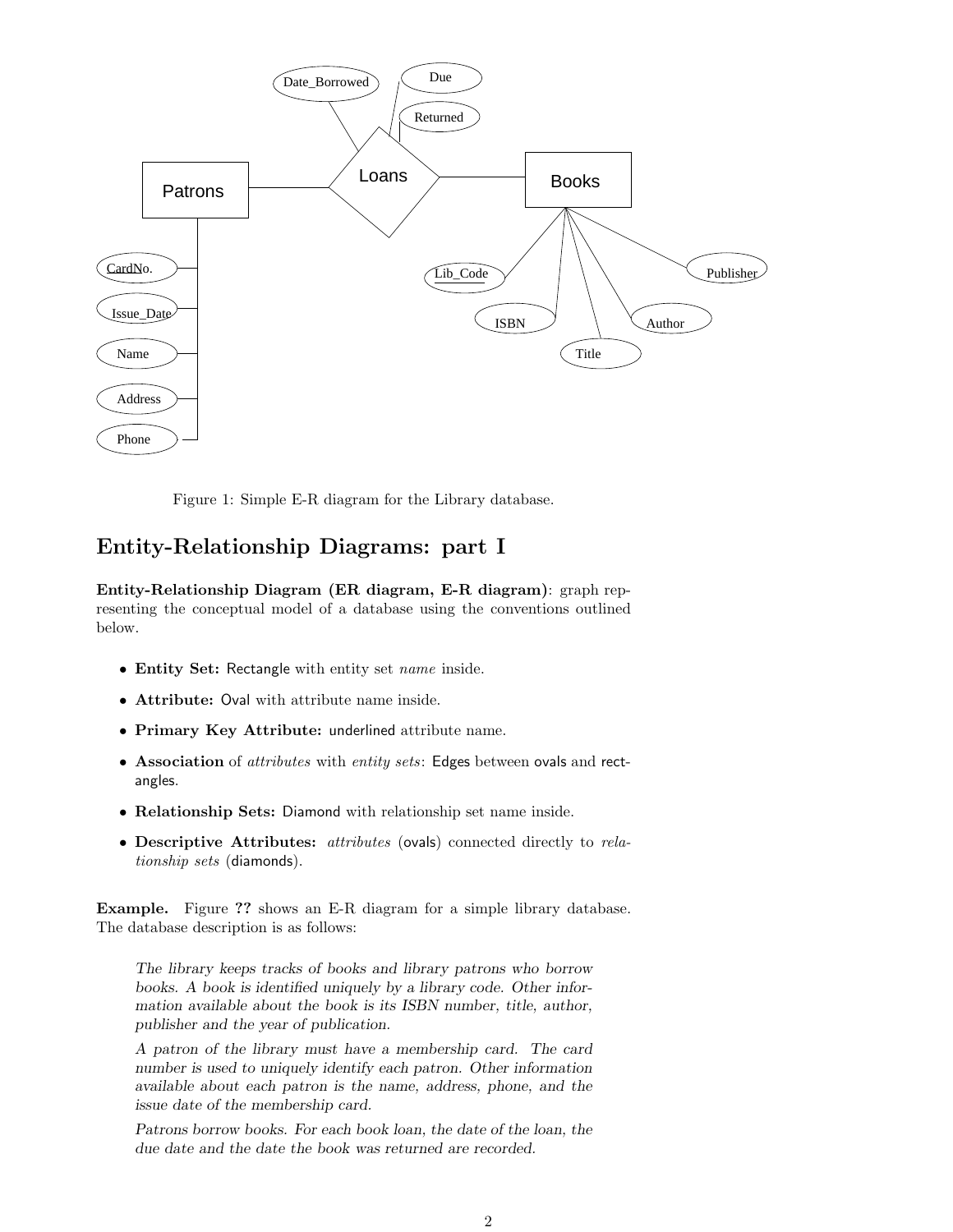

Figure 1: Simple E-R diagram for the Library database.

## Entity-Relationship Diagrams: part I

Entity-Relationship Diagram (ER diagram, E-R diagram): graph representing the conceptual model of a database using the conventions outlined below.

- Entity Set: Rectangle with entity set name inside.
- Attribute: Oval with attribute name inside.
- Primary Key Attribute: underlined attribute name.
- Association of attributes with entity sets: Edges between ovals and rectangles.
- Relationship Sets: Diamond with relationship set name inside.
- Descriptive Attributes: *attributes* (ovals) connected directly to relationship sets (diamonds).

Example. Figure ?? shows an E-R diagram for a simple library database. The database description is as follows:

The library keeps tracks of books and library patrons who borrow books. A book is identified uniquely by a library code. Other information available about the book is its ISBN number, title, author, publisher and the year of publication.

A patron of the library must have a membership card. The card number is used to uniquely identify each patron. Other information available about each patron is the name, address, phone, and the issue date of the membership card.

Patrons borrow books. For each book loan, the date of the loan, the due date and the date the book was returned are recorded.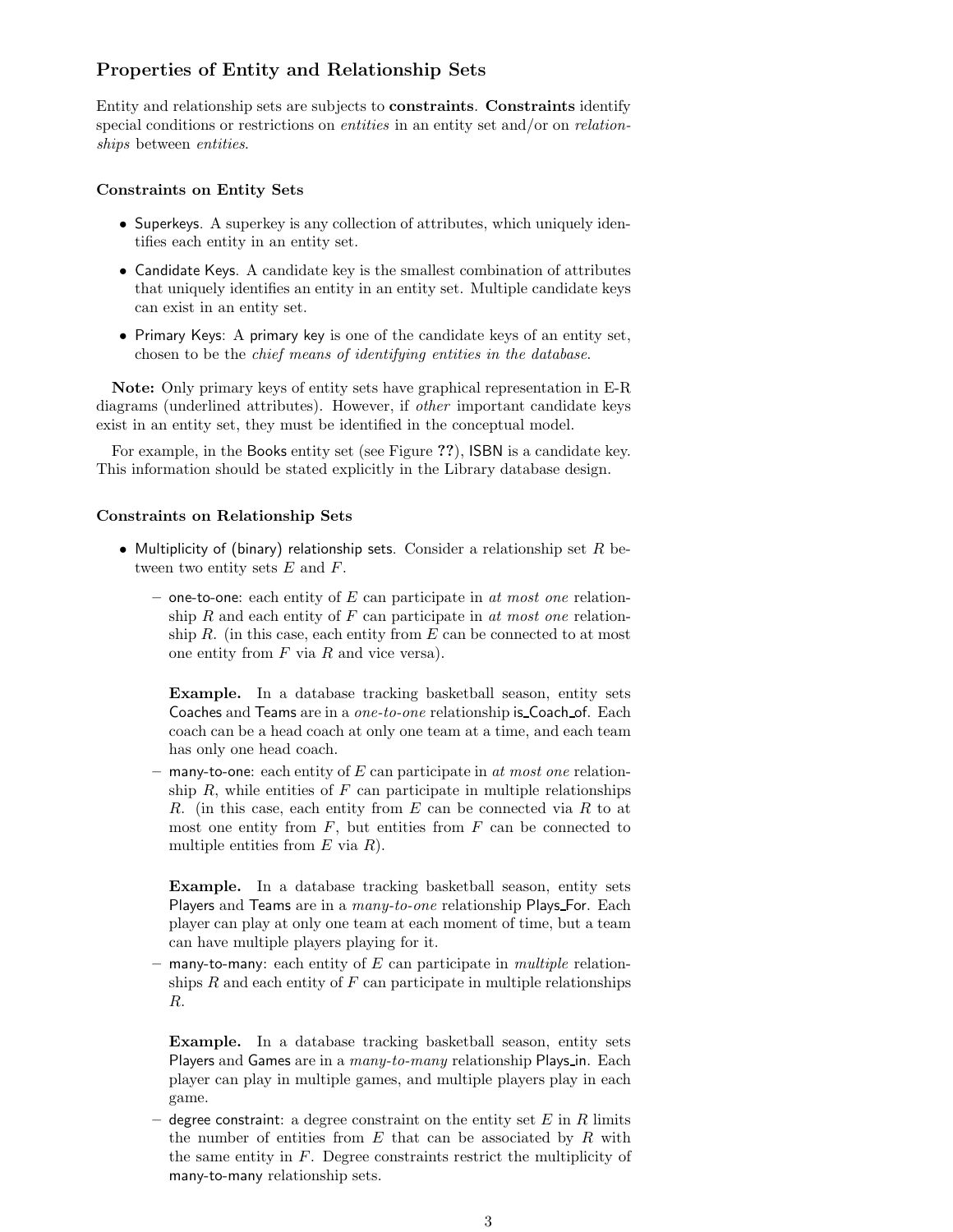### Properties of Entity and Relationship Sets

Entity and relationship sets are subjects to constraints. Constraints identify special conditions or restrictions on *entities* in an entity set and/or on *relation*ships between *entities*.

#### Constraints on Entity Sets

- Superkeys. A superkey is any collection of attributes, which uniquely identifies each entity in an entity set.
- Candidate Keys. A candidate key is the smallest combination of attributes that uniquely identifies an entity in an entity set. Multiple candidate keys can exist in an entity set.
- Primary Keys: A primary key is one of the candidate keys of an entity set, chosen to be the chief means of identifying entities in the database.

Note: Only primary keys of entity sets have graphical representation in E-R diagrams (underlined attributes). However, if other important candidate keys exist in an entity set, they must be identified in the conceptual model.

For example, in the Books entity set (see Figure ??), ISBN is a candidate key. This information should be stated explicitly in the Library database design.

#### Constraints on Relationship Sets

- Multiplicity of (binary) relationship sets. Consider a relationship set R between two entity sets  $E$  and  $F$ .
	- one-to-one: each entity of  $E$  can participate in at most one relationship R and each entity of F can participate in at most one relationship  $R$ . (in this case, each entity from  $E$  can be connected to at most one entity from  $F$  via  $R$  and vice versa).

Example. In a database tracking basketball season, entity sets Coaches and Teams are in a one-to-one relationship is Coach of. Each coach can be a head coach at only one team at a time, and each team has only one head coach.

many-to-one: each entity of  $E$  can participate in at most one relationship  $R$ , while entities of  $F$  can participate in multiple relationships R. (in this case, each entity from  $E$  can be connected via  $R$  to at most one entity from  $F$ , but entities from  $F$  can be connected to multiple entities from  $E$  via  $R$ ).

Example. In a database tracking basketball season, entity sets Players and Teams are in a many-to-one relationship Plays For. Each player can play at only one team at each moment of time, but a team can have multiple players playing for it.

– many-to-many: each entity of E can participate in *multiple* relationships  $R$  and each entity of  $F$  can participate in multiple relationships R.

Example. In a database tracking basketball season, entity sets Players and Games are in a many-to-many relationship Plays in. Each player can play in multiple games, and multiple players play in each game.

– degree constraint: a degree constraint on the entity set  $E$  in  $R$  limits the number of entities from  $E$  that can be associated by  $R$  with the same entity in  $F$ . Degree constraints restrict the multiplicity of many-to-many relationship sets.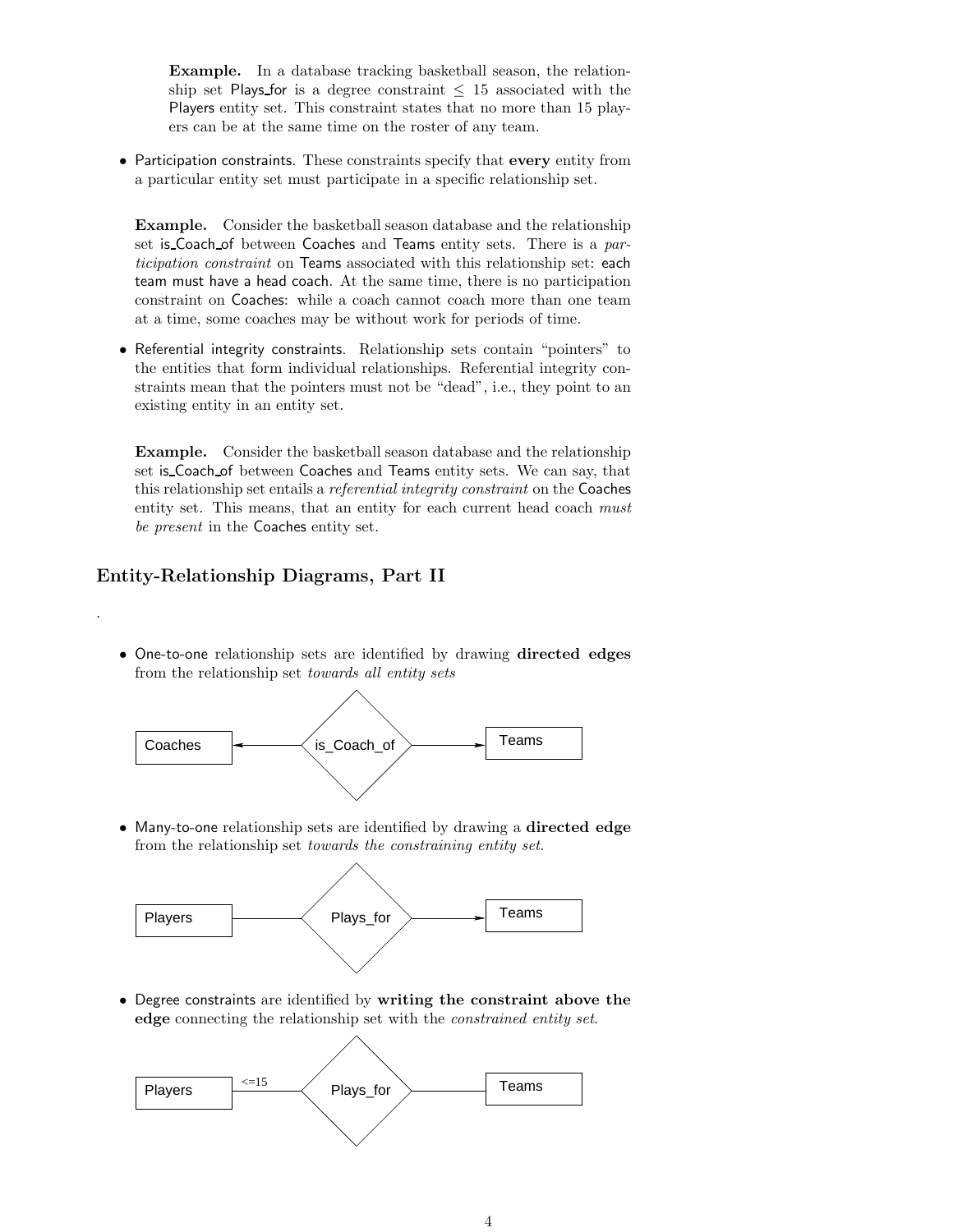Example. In a database tracking basketball season, the relationship set Plays for is a degree constraint  $\leq 15$  associated with the Players entity set. This constraint states that no more than 15 players can be at the same time on the roster of any team.

• Participation constraints. These constraints specify that every entity from a particular entity set must participate in a specific relationship set.

Example. Consider the basketball season database and the relationship set is Coach of between Coaches and Teams entity sets. There is a participation constraint on Teams associated with this relationship set: each team must have a head coach. At the same time, there is no participation constraint on Coaches: while a coach cannot coach more than one team at a time, some coaches may be without work for periods of time.

• Referential integrity constraints. Relationship sets contain "pointers" to the entities that form individual relationships. Referential integrity constraints mean that the pointers must not be "dead", i.e., they point to an existing entity in an entity set.

Example. Consider the basketball season database and the relationship set is Coach of between Coaches and Teams entity sets. We can say, that this relationship set entails a referential integrity constraint on the Coaches entity set. This means, that an entity for each current head coach must be *present* in the Coaches entity set.

### Entity-Relationship Diagrams, Part II

.

• One-to-one relationship sets are identified by drawing directed edges from the relationship set towards all entity sets



• Many-to-one relationship sets are identified by drawing a directed edge from the relationship set towards the constraining entity set.



• Degree constraints are identified by writing the constraint above the edge connecting the relationship set with the constrained entity set.

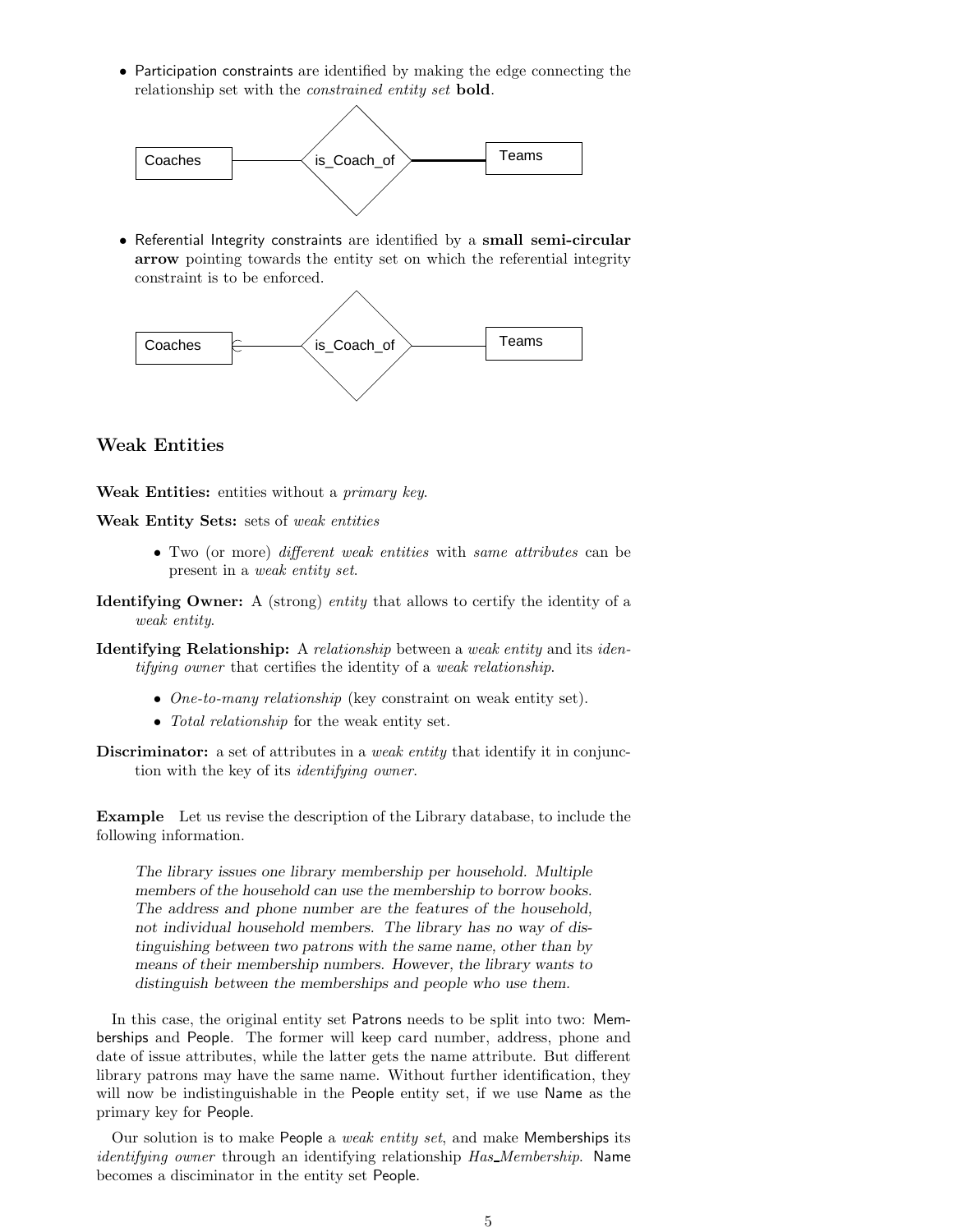• Participation constraints are identified by making the edge connecting the relationship set with the *constrained entity set* **bold**.



• Referential Integrity constraints are identified by a small semi-circular arrow pointing towards the entity set on which the referential integrity constraint is to be enforced.



### Weak Entities

Weak Entities: entities without a *primary key*.

Weak Entity Sets: sets of weak entities

- Two (or more) different weak entities with same attributes can be present in a weak entity set.
- Identifying Owner: A (strong) entity that allows to certify the identity of a weak entity.
- Identifying Relationship: A relationship between a weak entity and its identifying owner that certifies the identity of a weak relationship.
	- One-to-many relationship (key constraint on weak entity set).
	- Total relationship for the weak entity set.
- Discriminator: a set of attributes in a *weak entity* that identify it in conjunction with the key of its identifying owner.

Example Let us revise the description of the Library database, to include the following information.

The library issues one library membership per household. Multiple members of the household can use the membership to borrow books. The address and phone number are the features of the household, not individual household members. The library has no way of distinguishing between two patrons with the same name, other than by means of their membership numbers. However, the library wants to distinguish between the memberships and people who use them.

In this case, the original entity set Patrons needs to be split into two: Memberships and People. The former will keep card number, address, phone and date of issue attributes, while the latter gets the name attribute. But different library patrons may have the same name. Without further identification, they will now be indistinguishable in the People entity set, if we use Name as the primary key for People.

Our solution is to make People a *weak entity set*, and make Memberships its identifying owner through an identifying relationship Has Membership. Name becomes a disciminator in the entity set People.